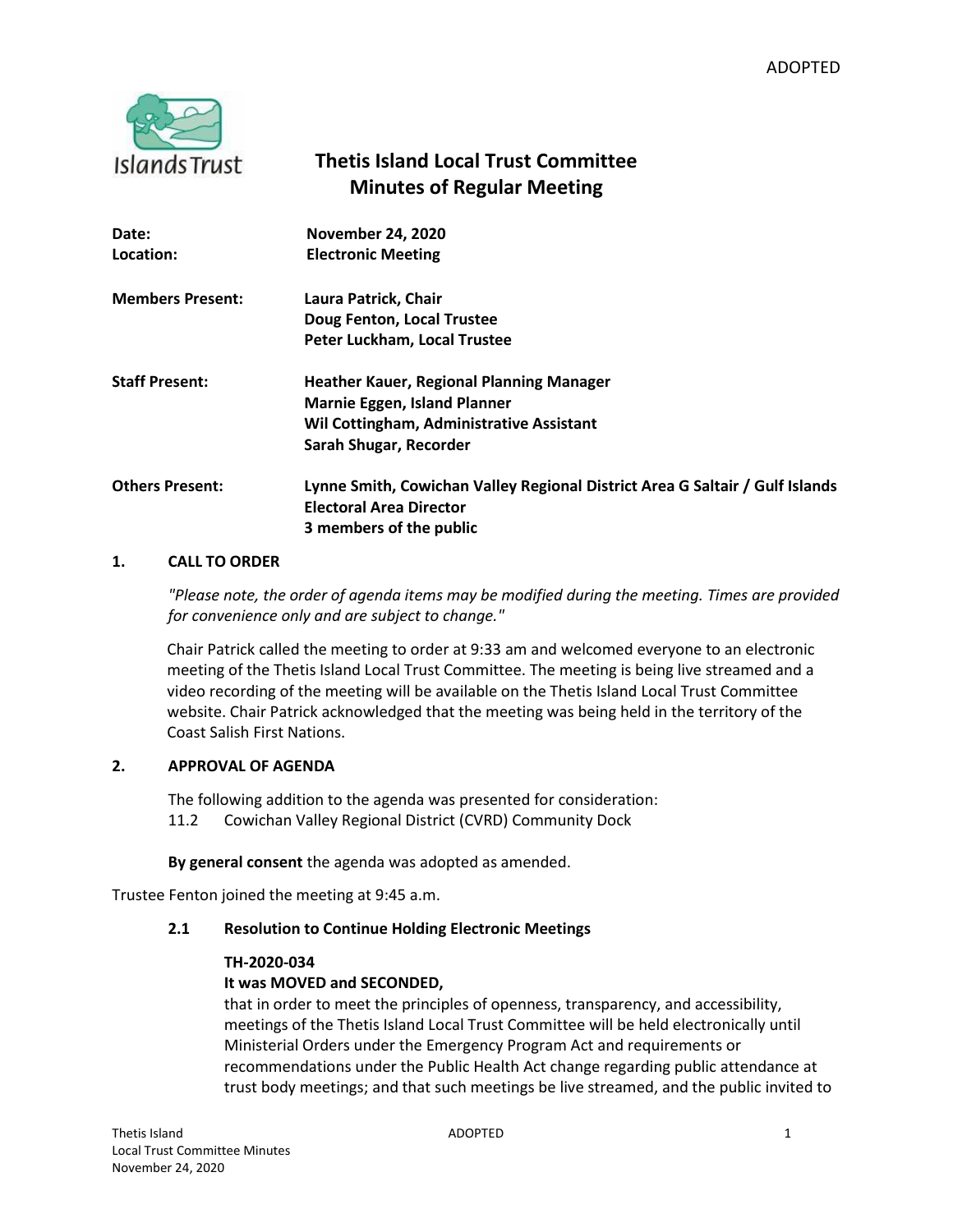

# **Thetis Island Local Trust Committee Minutes of Regular Meeting**

| Date:                   | <b>November 24, 2020</b>                                                                                       |
|-------------------------|----------------------------------------------------------------------------------------------------------------|
| Location:               | <b>Electronic Meeting</b>                                                                                      |
| <b>Members Present:</b> | Laura Patrick, Chair                                                                                           |
|                         | Doug Fenton, Local Trustee                                                                                     |
|                         | Peter Luckham, Local Trustee                                                                                   |
| <b>Staff Present:</b>   | <b>Heather Kauer, Regional Planning Manager</b>                                                                |
|                         | <b>Marnie Eggen, Island Planner</b>                                                                            |
|                         | <b>Wil Cottingham, Administrative Assistant</b>                                                                |
|                         | Sarah Shugar, Recorder                                                                                         |
| <b>Others Present:</b>  | Lynne Smith, Cowichan Valley Regional District Area G Saltair / Gulf Islands<br><b>Electoral Area Director</b> |
|                         | 3 members of the public                                                                                        |

### **1. CALL TO ORDER**

*"Please note, the order of agenda items may be modified during the meeting. Times are provided for convenience only and are subject to change."*

Chair Patrick called the meeting to order at 9:33 am and welcomed everyone to an electronic meeting of the Thetis Island Local Trust Committee. The meeting is being live streamed and a video recording of the meeting will be available on the Thetis Island Local Trust Committee website. Chair Patrick acknowledged that the meeting was being held in the territory of the Coast Salish First Nations.

# **2. APPROVAL OF AGENDA**

The following addition to the agenda was presented for consideration: 11.2 Cowichan Valley Regional District (CVRD) Community Dock

**By general consent** the agenda was adopted as amended.

Trustee Fenton joined the meeting at 9:45 a.m.

# **2.1 Resolution to Continue Holding Electronic Meetings**

### **TH-2020-034**

# **It was MOVED and SECONDED,**

that in order to meet the principles of openness, transparency, and accessibility, meetings of the Thetis Island Local Trust Committee will be held electronically until Ministerial Orders under the Emergency Program Act and requirements or recommendations under the Public Health Act change regarding public attendance at trust body meetings; and that such meetings be live streamed, and the public invited to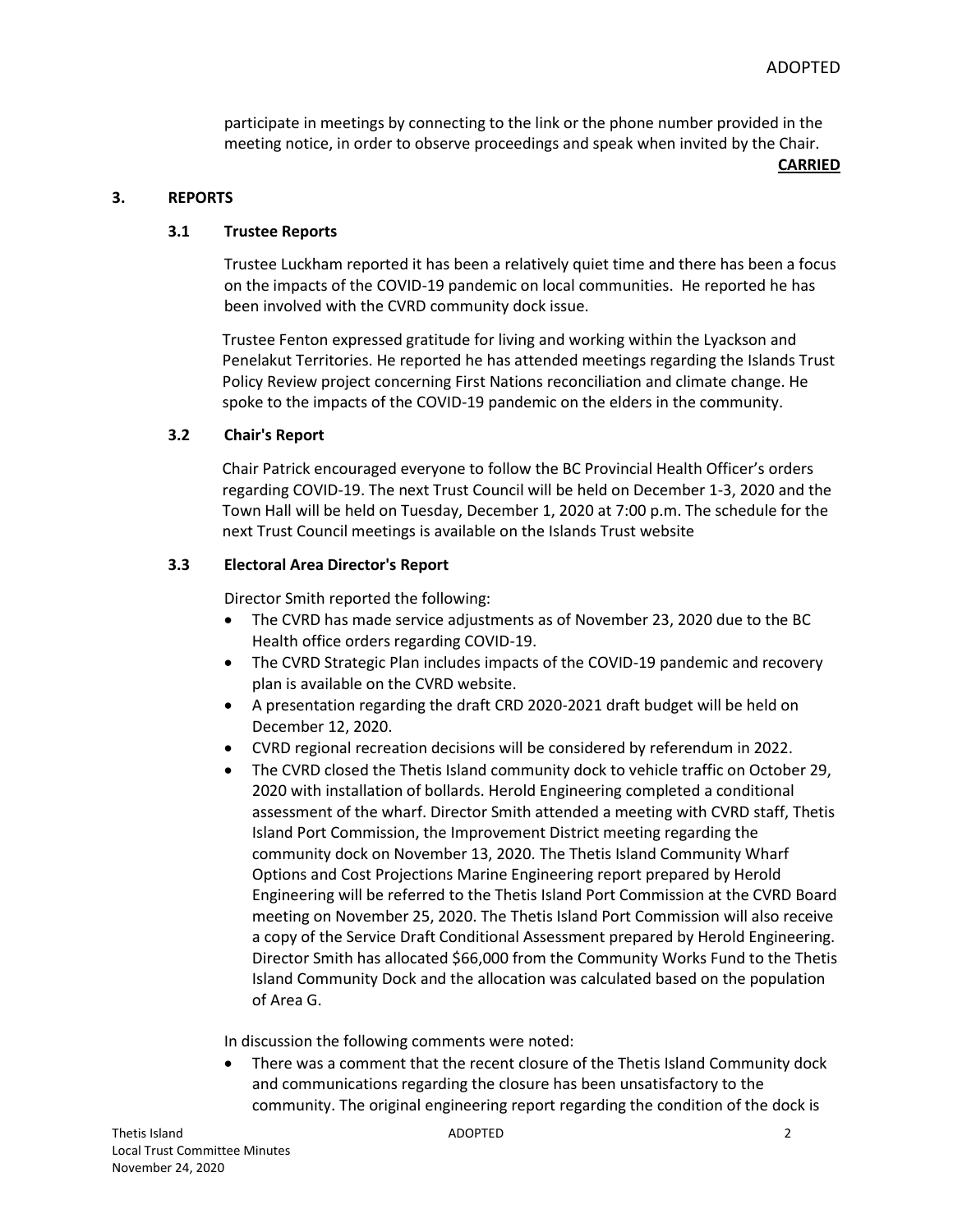participate in meetings by connecting to the link or the phone number provided in the meeting notice, in order to observe proceedings and speak when invited by the Chair.

**CARRIED**

### **3. REPORTS**

#### **3.1 Trustee Reports**

Trustee Luckham reported it has been a relatively quiet time and there has been a focus on the impacts of the COVID-19 pandemic on local communities. He reported he has been involved with the CVRD community dock issue.

Trustee Fenton expressed gratitude for living and working within the Lyackson and Penelakut Territories. He reported he has attended meetings regarding the Islands Trust Policy Review project concerning First Nations reconciliation and climate change. He spoke to the impacts of the COVID-19 pandemic on the elders in the community.

#### **3.2 Chair's Report**

Chair Patrick encouraged everyone to follow the BC Provincial Health Officer's orders regarding COVID-19. The next Trust Council will be held on December 1-3, 2020 and the Town Hall will be held on Tuesday, December 1, 2020 at 7:00 p.m. The schedule for the next Trust Council meetings is available on the Islands Trust website

### **3.3 Electoral Area Director's Report**

Director Smith reported the following:

- The CVRD has made service adjustments as of November 23, 2020 due to the BC Health office orders regarding COVID-19.
- The CVRD Strategic Plan includes impacts of the COVID-19 pandemic and recovery plan is available on the CVRD website.
- A presentation regarding the draft CRD 2020-2021 draft budget will be held on December 12, 2020.
- CVRD regional recreation decisions will be considered by referendum in 2022.
- The CVRD closed the Thetis Island community dock to vehicle traffic on October 29, 2020 with installation of bollards. Herold Engineering completed a conditional assessment of the wharf. Director Smith attended a meeting with CVRD staff, Thetis Island Port Commission, the Improvement District meeting regarding the community dock on November 13, 2020. The Thetis Island Community Wharf Options and Cost Projections Marine Engineering report prepared by Herold Engineering will be referred to the Thetis Island Port Commission at the CVRD Board meeting on November 25, 2020. The Thetis Island Port Commission will also receive a copy of the Service Draft Conditional Assessment prepared by Herold Engineering. Director Smith has allocated \$66,000 from the Community Works Fund to the Thetis Island Community Dock and the allocation was calculated based on the population of Area G.

In discussion the following comments were noted:

 There was a comment that the recent closure of the Thetis Island Community dock and communications regarding the closure has been unsatisfactory to the community. The original engineering report regarding the condition of the dock is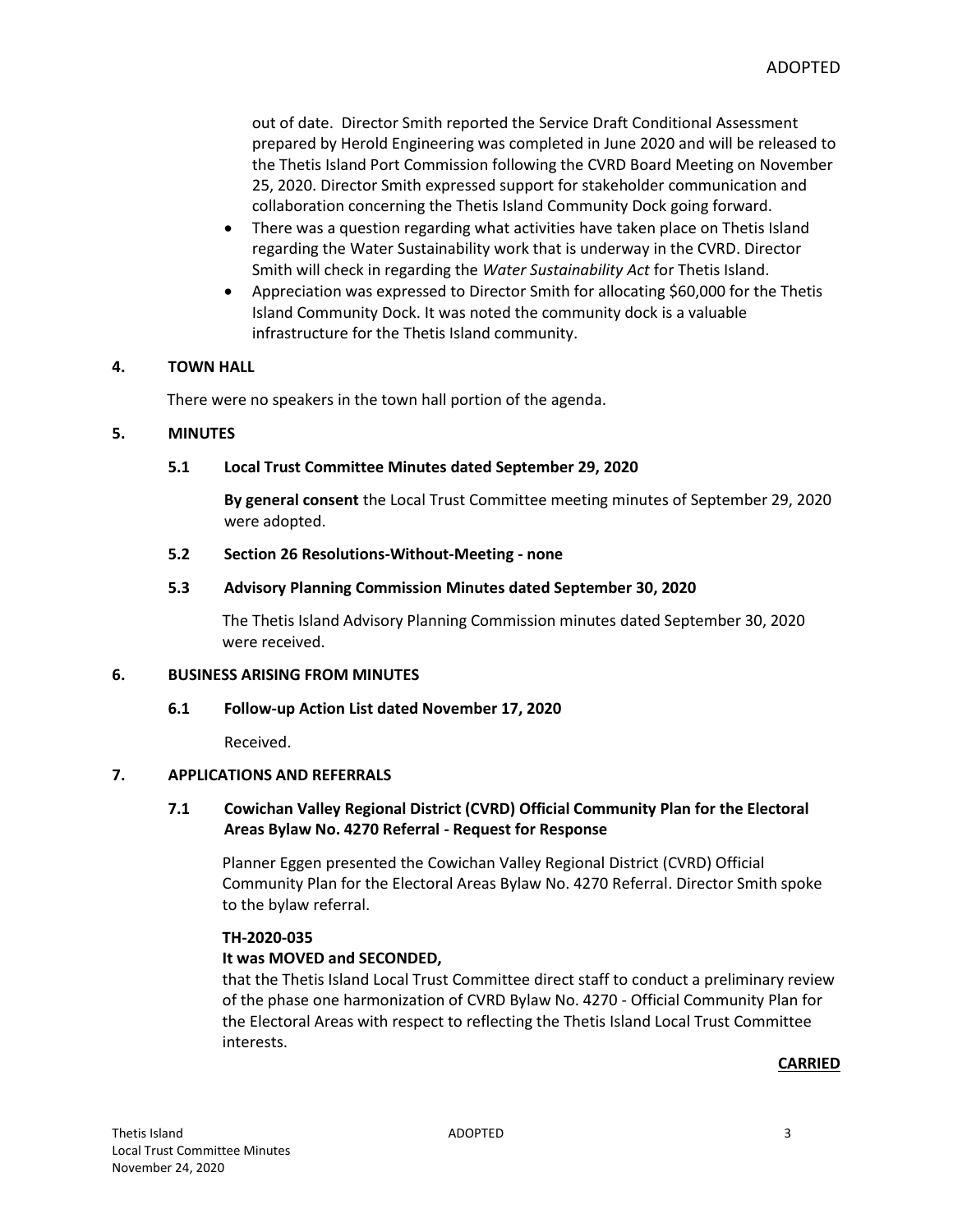out of date. Director Smith reported the Service Draft Conditional Assessment prepared by Herold Engineering was completed in June 2020 and will be released to the Thetis Island Port Commission following the CVRD Board Meeting on November 25, 2020. Director Smith expressed support for stakeholder communication and collaboration concerning the Thetis Island Community Dock going forward.

- There was a question regarding what activities have taken place on Thetis Island regarding the Water Sustainability work that is underway in the CVRD. Director Smith will check in regarding the *Water Sustainability Act* for Thetis Island.
- Appreciation was expressed to Director Smith for allocating \$60,000 for the Thetis Island Community Dock. It was noted the community dock is a valuable infrastructure for the Thetis Island community.

#### **4. TOWN HALL**

There were no speakers in the town hall portion of the agenda.

#### **5. MINUTES**

#### **5.1 Local Trust Committee Minutes dated September 29, 2020**

**By general consent** the Local Trust Committee meeting minutes of September 29, 2020 were adopted.

#### **5.2 Section 26 Resolutions-Without-Meeting - none**

#### **5.3 Advisory Planning Commission Minutes dated September 30, 2020**

The Thetis Island Advisory Planning Commission minutes dated September 30, 2020 were received.

### **6. BUSINESS ARISING FROM MINUTES**

### **6.1 Follow-up Action List dated November 17, 2020**

Received.

### **7. APPLICATIONS AND REFERRALS**

### **7.1 Cowichan Valley Regional District (CVRD) Official Community Plan for the Electoral Areas Bylaw No. 4270 Referral - Request for Response**

Planner Eggen presented the Cowichan Valley Regional District (CVRD) Official Community Plan for the Electoral Areas Bylaw No. 4270 Referral. Director Smith spoke to the bylaw referral.

### **TH-2020-035**

### **It was MOVED and SECONDED,**

that the Thetis Island Local Trust Committee direct staff to conduct a preliminary review of the phase one harmonization of CVRD Bylaw No. 4270 - Official Community Plan for the Electoral Areas with respect to reflecting the Thetis Island Local Trust Committee interests.

#### **CARRIED**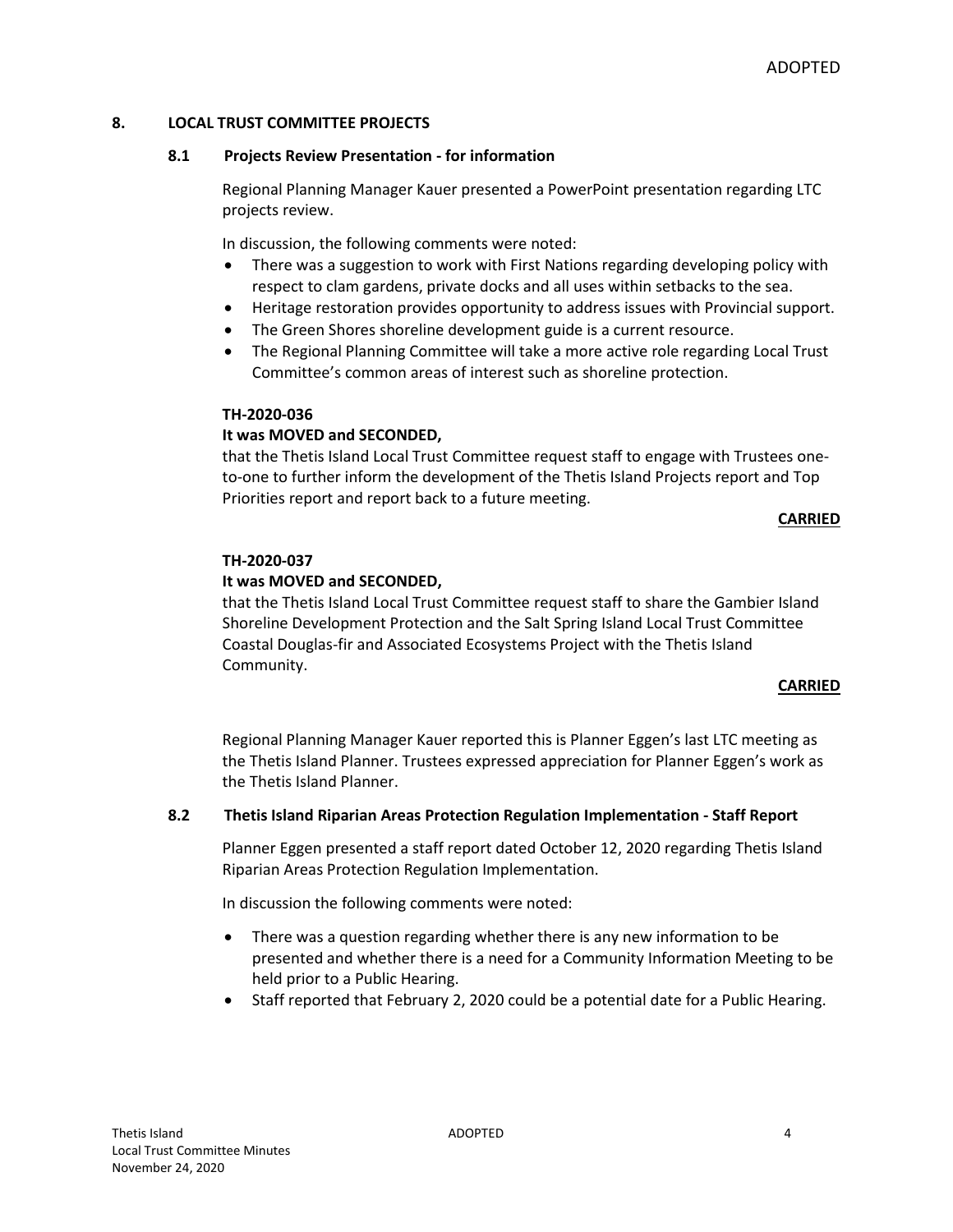### **8. LOCAL TRUST COMMITTEE PROJECTS**

### **8.1 Projects Review Presentation - for information**

Regional Planning Manager Kauer presented a PowerPoint presentation regarding LTC projects review.

In discussion, the following comments were noted:

- There was a suggestion to work with First Nations regarding developing policy with respect to clam gardens, private docks and all uses within setbacks to the sea.
- Heritage restoration provides opportunity to address issues with Provincial support.
- The Green Shores shoreline development guide is a current resource.
- The Regional Planning Committee will take a more active role regarding Local Trust Committee's common areas of interest such as shoreline protection.

### **TH-2020-036**

### **It was MOVED and SECONDED,**

that the Thetis Island Local Trust Committee request staff to engage with Trustees oneto-one to further inform the development of the Thetis Island Projects report and Top Priorities report and report back to a future meeting.

### **CARRIED**

# **TH-2020-037**

# **It was MOVED and SECONDED,**

that the Thetis Island Local Trust Committee request staff to share the Gambier Island Shoreline Development Protection and the Salt Spring Island Local Trust Committee Coastal Douglas-fir and Associated Ecosystems Project with the Thetis Island Community.

### **CARRIED**

Regional Planning Manager Kauer reported this is Planner Eggen's last LTC meeting as the Thetis Island Planner. Trustees expressed appreciation for Planner Eggen's work as the Thetis Island Planner.

### **8.2 Thetis Island Riparian Areas Protection Regulation Implementation - Staff Report**

Planner Eggen presented a staff report dated October 12, 2020 regarding Thetis Island Riparian Areas Protection Regulation Implementation.

In discussion the following comments were noted:

- There was a question regarding whether there is any new information to be presented and whether there is a need for a Community Information Meeting to be held prior to a Public Hearing.
- Staff reported that February 2, 2020 could be a potential date for a Public Hearing.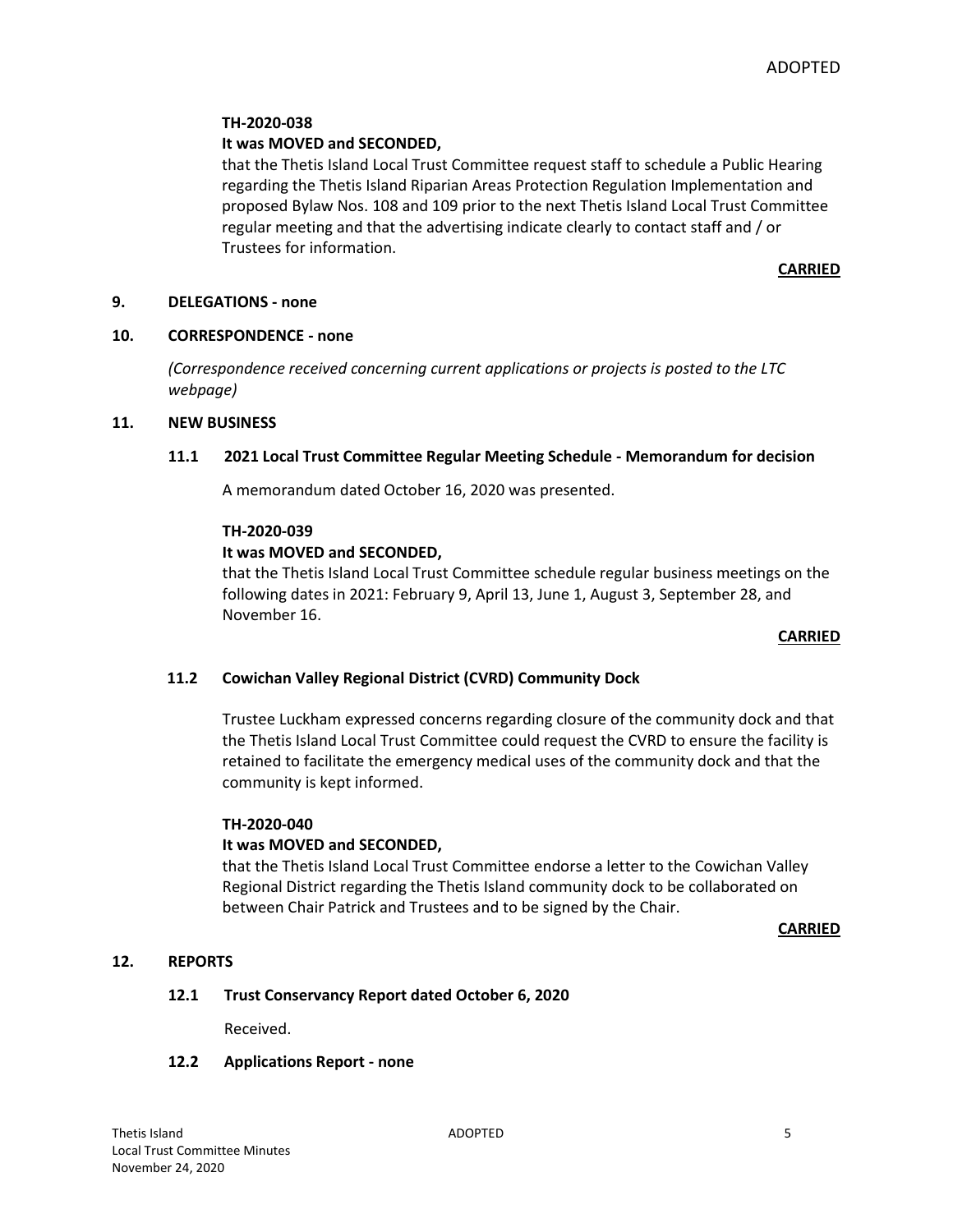### **TH-2020-038**

### **It was MOVED and SECONDED,**

that the Thetis Island Local Trust Committee request staff to schedule a Public Hearing regarding the Thetis Island Riparian Areas Protection Regulation Implementation and proposed Bylaw Nos. 108 and 109 prior to the next Thetis Island Local Trust Committee regular meeting and that the advertising indicate clearly to contact staff and / or Trustees for information.

### **CARRIED**

### **9. DELEGATIONS - none**

#### **10. CORRESPONDENCE - none**

*(Correspondence received concerning current applications or projects is posted to the LTC webpage)*

#### **11. NEW BUSINESS**

### **11.1 2021 Local Trust Committee Regular Meeting Schedule - Memorandum for decision**

A memorandum dated October 16, 2020 was presented.

#### **TH-2020-039**

### **It was MOVED and SECONDED,**

that the Thetis Island Local Trust Committee schedule regular business meetings on the following dates in 2021: February 9, April 13, June 1, August 3, September 28, and November 16.

#### **CARRIED**

### **11.2 Cowichan Valley Regional District (CVRD) Community Dock**

Trustee Luckham expressed concerns regarding closure of the community dock and that the Thetis Island Local Trust Committee could request the CVRD to ensure the facility is retained to facilitate the emergency medical uses of the community dock and that the community is kept informed.

#### **TH-2020-040**

### **It was MOVED and SECONDED,**

that the Thetis Island Local Trust Committee endorse a letter to the Cowichan Valley Regional District regarding the Thetis Island community dock to be collaborated on between Chair Patrick and Trustees and to be signed by the Chair.

**CARRIED**

### **12. REPORTS**

### **12.1 Trust Conservancy Report dated October 6, 2020**

Received.

### **12.2 Applications Report - none**